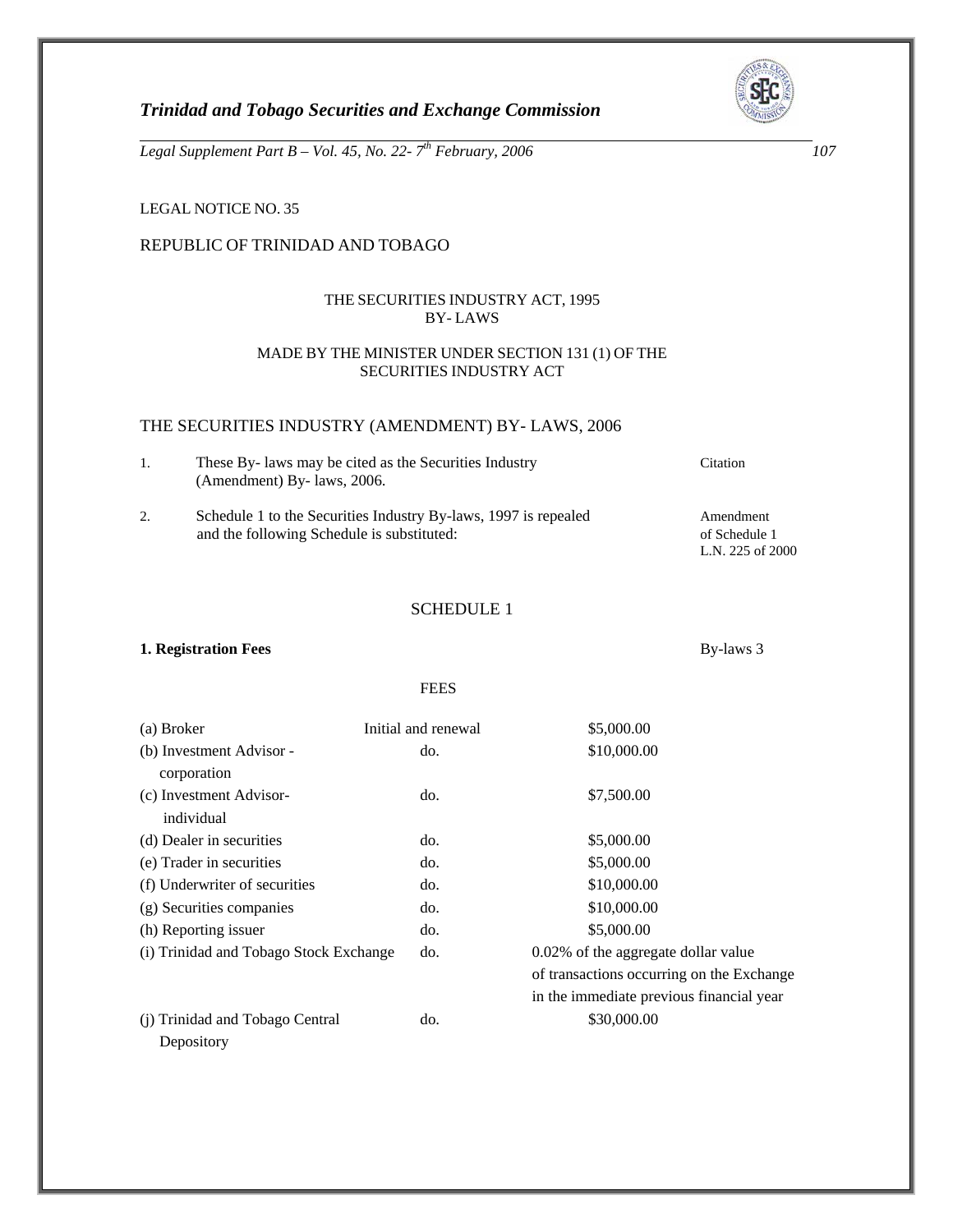

L.N. 225 of 2000

*Trinidad and Tobago Securities and Exchange Commission* 

*Legal Supplement Part B – Vol. 45, No. 22- 7th February, 2006 107* 

LEGAL NOTICE NO. 35

# REPUBLIC OF TRINIDAD AND TOBAGO

# THE SECURITIES INDUSTRY ACT, 1995 BY- LAWS

## MADE BY THE MINISTER UNDER SECTION 131 (1) OF THE SECURITIES INDUSTRY ACT

## THE SECURITIES INDUSTRY (AMENDMENT) BY- LAWS, 2006

- 1. These By- laws may be cited as the Securities Industry Citation (Amendment) By- laws, 2006.
- 2. Schedule 1 to the Securities Industry By-laws, 1997 is repealed Amendment and the following Schedule is substituted: of Schedule 1

SCHEDULE 1

#### **1. Registration Fees** By-laws 3

#### FEES

| (a) Broker                             | Initial and renewal | \$5,000.00                                |
|----------------------------------------|---------------------|-------------------------------------------|
| (b) Investment Advisor -               | do.                 | \$10,000.00                               |
| corporation                            |                     |                                           |
| (c) Investment Advisor-                | do.                 | \$7,500.00                                |
| individual                             |                     |                                           |
| (d) Dealer in securities               | do.                 | \$5,000.00                                |
| (e) Trader in securities               | do.                 | \$5,000.00                                |
| (f) Underwriter of securities          | do.                 | \$10,000.00                               |
| (g) Securities companies               | do.                 | \$10,000.00                               |
| (h) Reporting issuer                   | do.                 | \$5,000.00                                |
| (i) Trinidad and Tobago Stock Exchange | do.                 | 0.02% of the aggregate dollar value       |
|                                        |                     | of transactions occurring on the Exchange |
|                                        |                     | in the immediate previous financial year  |
| (j) Trinidad and Tobago Central        | do.                 | \$30,000.00                               |
| Depository                             |                     |                                           |